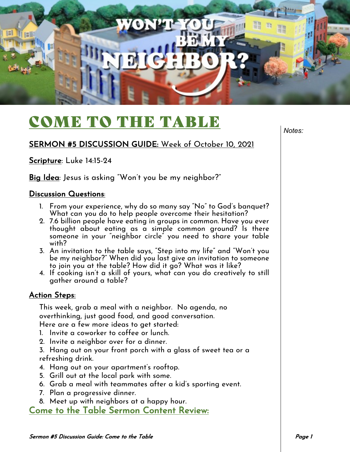

## COME TO THE TABLE

SERMON #5 DISCUSSION GUIDE: Week of October 10, 2021

Scripture: Luke 14:15-24

Big Idea: Jesus is asking "Won't you be my neighbor?"

## Discussion Questions:

- 1. From your experience, why do so many say "No" to God's banquet? What can you do to help people overcome their hesitation?
- 2. 7.6 billion people have eating in groups in common. Have you ever thought about eating as a simple common ground? Is there someone in your "neighbor circle" you need to share your table with?
- 3. An invitation to the table says, "Step into my life" and "Won't you be my neighbor?" When did you last give an invitation to someone to join you at the table? How did it go? What was it like?
- 4. If cooking isn't a skill of yours, what can you do creatively to still gather around a table?

## Action Steps:

This week, grab a meal with a neighbor. No agenda, no overthinking, just good food, and good conversation. Here are a few more ideas to get started:

- 1. Invite a coworker to coffee or lunch.
- 2. Invite a neighbor over for a dinner.

3. Hang out on your front porch with a glass of sweet tea or a refreshing drink.

- 4. Hang out on your apartment's rooftop.
- 5. Grill out at the local park with some.
- 6. Grab a meal with teammates after a kid's sporting event.
- 7. Plan a progressive dinner.
- 8. Meet up with neighbors at a happy hour.

Come to the Table Sermon Content Review:

*Notes:*